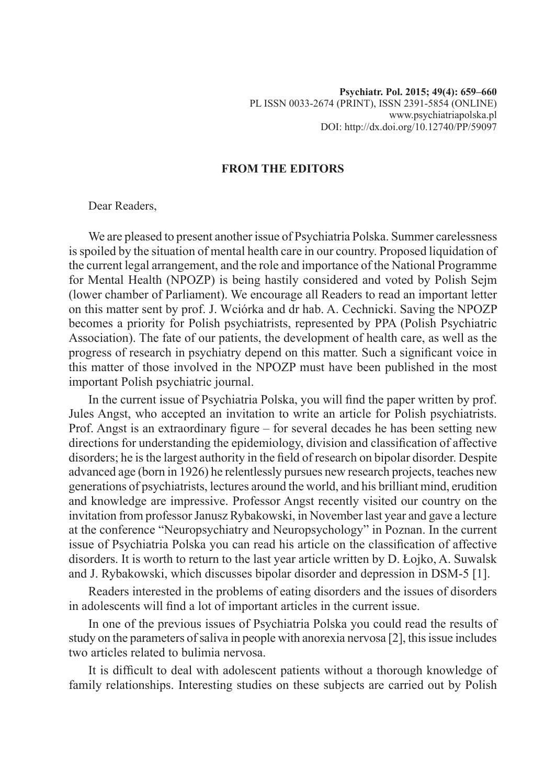## **FROM THE EDITORS**

Dear Readers,

We are pleased to present another issue of Psychiatria Polska. Summer carelessness is spoiled by the situation of mental health care in our country. Proposed liquidation of the current legal arrangement, and the role and importance of the National Programme for Mental Health (NPOZP) is being hastily considered and voted by Polish Sejm (lower chamber of Parliament). We encourage all Readers to read an important letter on this matter sent by prof. J. Wciórka and dr hab. A. Cechnicki. Saving the NPOZP becomes a priority for Polish psychiatrists, represented by PPA (Polish Psychiatric Association). The fate of our patients, the development of health care, as well as the progress of research in psychiatry depend on this matter. Such a significant voice in this matter of those involved in the NPOZP must have been published in the most important Polish psychiatric journal.

In the current issue of Psychiatria Polska, you will find the paper written by prof. Jules Angst, who accepted an invitation to write an article for Polish psychiatrists. Prof. Angst is an extraordinary figure – for several decades he has been setting new directions for understanding the epidemiology, division and classification of affective disorders; he is the largest authority in the field of research on bipolar disorder. Despite advanced age (born in 1926) he relentlessly pursues new research projects, teaches new generations of psychiatrists, lectures around the world, and his brilliant mind, erudition and knowledge are impressive. Professor Angst recently visited our country on the invitation from professor Janusz Rybakowski, in November last year and gave a lecture at the conference "Neuropsychiatry and Neuropsychology" in Poznan. In the current issue of Psychiatria Polska you can read his article on the classification of affective disorders. It is worth to return to the last year article written by D. Łojko, A. Suwalsk and J. Rybakowski, which discusses bipolar disorder and depression in DSM-5 [1].

Readers interested in the problems of eating disorders and the issues of disorders in adolescents will find a lot of important articles in the current issue.

In one of the previous issues of Psychiatria Polska you could read the results of study on the parameters of saliva in people with anorexia nervosa [2], this issue includes two articles related to bulimia nervosa.

It is difficult to deal with adolescent patients without a thorough knowledge of family relationships. Interesting studies on these subjects are carried out by Polish